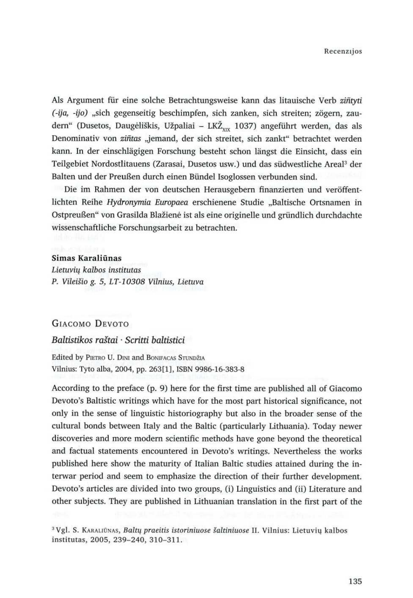Als Argument für eine solche Betrachtungsweise kann das litauische Verb ziñtyti (-ija, -ijo) "sich gegenseitig beschimpfen, sich zanken, sich streiten; zögern, zaudern" (Dusetos, Daugėliškis, Užpaliai – LKŽ<sub>xix</sub> 1037) angeführt werden, das als Denominativ von ziñtas "jemand, der sich streitet, sich zankt" betrachtet werden kann. In der einschlägigen Forschung besteht schon längst die Einsicht, dass ein Teilgebiet Nordostlitauens (Zarasai, Dusetos usw.) und das siidwestliche Areal? der Balten und der Preußen durch einen Bündel Isoglossen verbunden sind.

Lietuviy kalbos institutas P. Vileišio g. 5, LT-10308 Vilnius, Lietuva

# GIACOMO DEVOTO

Edited by PIETRO U. DINI and BONIFACAS STUNDŽIA Vilnius: Tyto alba, 2004, pp. 263[1], ISBN 9986-16-383-8

According to the preface (p. 9) here for the first time are published all of Giacomo Devoto's Baltistic writings which have for the most part historical significance, not only in the sense of linguistic historiography but also in the broader sense of the cultural bonds between Italy and the Baltic (particularly Lithuania). Today newer discoveries and more modern scientific methods have gone beyond the theoretical and factual statements encountered in Devoto's writings. Nevertheless the works published here show the maturity of Italian Baltic studies attained during the interwar period and seem to emphasize the direction of their further development. Devoto's articles are divided into two groups,(i) Linguistics and(ii) Literature and other subjects. They are published in Lithuanian translation in the first part of the

Die im Rahmen der von deutschen Herausgebern finanzierten und veréffentlichten Reihe Hydronymia Europaea erschienene Studie ,,Baltische Ortsnamen in Ostpreußen" von Grasilda Blažienė ist als eine originelle und gründlich durchdachte wissenschaftliche Forschungsarbeit zu betrachten.

## Simas Karaliūnas

# Baltistikos rastai « Scritti baltistici

<sup>3</sup> Vgl. S. KARALIŪNAS, Baltų praeitis istoriniuose šaltiniuose II. Vilnius: Lietuvių kalbos institutas, 2005, 239-240, 310-311.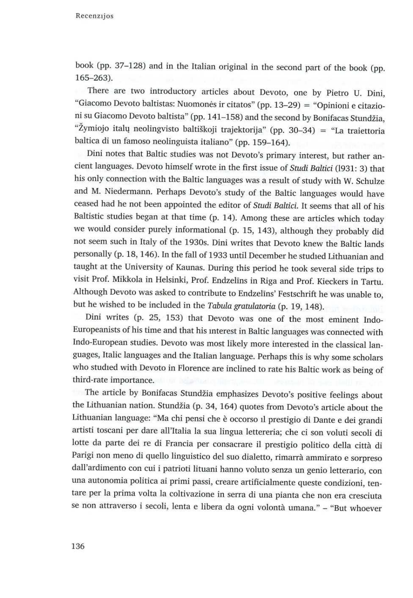Recenzijos

book (pp. 37-128) and in the Italian original in the second part of the book (pp. 165-263).

There are two introductory articles about Devoto, one by Pietro U. Dini, "Giacomo Devoto baltistas: Nuomonės ir citatos" (pp. 13-29) = "Opinioni e citazioni su Giacomo Devoto baltista" (pp. 141-158) and the second by Bonifacas Stundžia, "Žymiojo italų neolingvisto baltiškoji trajektorija" (pp. 30–34) = "La traiettoria baltica di un famoso neolinguista italiano" (pp. 159-164).

The article by Bonifacas Stundzia emphasizes Devoto's positive feelings about the Lithuanian nation. Stundzia (p. 34, 164) quotes from Devoto's article about the Lithuanian language: "Ma chi pensi che @ occorso 11 prestigio di Dante e dei grandi artisti toscani per dare all'Italia la sua lingua lettereria; che ci son voluti secoli di lotte da parte dei re di Francia per consacrare il prestigio politico della città di Parigi non meno di quello linguistico del suo dialetto, rimarra ammirato e sorpreso dall'ardimento con cui i patrioti lituani hanno voluto senza un genio letterario, con una autonomia politica ai primi passi, creare artificialmente queste condizioni, tentare per la prima volta la coltivazione in serra di una pianta che nonera cresciuta se non attraverso i secoli, lenta e libera da ogni volontà umana." - "But whoever

Dini notes that Baltic studies was not Devoto's primary interest, but rather ancient languages. Devoto himself wrote in the first issue of Studi Baltici (1931: 3) that his only connection with the Baltic languages was a result of study with W. Schulze and M. Niedermann, Perhaps Devoto's study of the Baltic languages would have ceased had he not been appointed the editor of Studi Baltici. It seems that all of his Baltistic studies began at that time (p. 14). Among these are articles which today we would consider purely informational (p. 15, 143), although they probably did not seem such in Italy of the 1930s. Dini writes that Devoto knew the Baltic lands personally (p. 18, 146). In the fall of 1933 until December he studied Lithuanian and taught at the University of Kaunas. During this period he took several side trips to visit Prof. Mikkola in Helsinki, Prof. Endzelins in Riga and Prof. Kieckers in Tartu. Although Devoto was asked to contribute to Endzelins' Festschrift he was unable to, but he wished to be included in the Tabula gratulatoria (p. 19, 148).

Dini writes (p. 25, 153) that Devoto was one of the most eminent Indo-Europeanists of his time and that his interest in Baltic languages was connected with Indo-European studies. Devoto was most likely more interested in the classical languages, Italic languages and the Italian language. Perhaps this is why some scholars who studied with Devoto in Florence are inclined to rate his Baltic work as being of third-rate importance.

136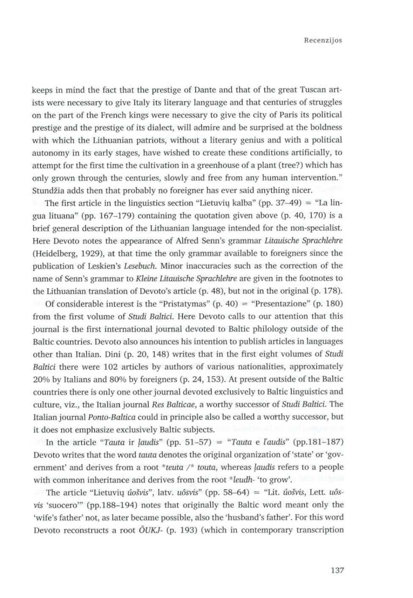keeps in mind the fact that the prestige of Dante and that of the great Tuscan artists were necessary to give Italy its literary language and that centuries of struggles on the part of the French kings were necessary to give the city of Paris its political prestige and the prestige of its dialect, will admire and be surprised at the boldness<br>with which the Lithuanian patriots, without a literary genius and with a political with which the Lithuanian patriots, without a literary genius and with a political autonomy in its early stages, have wished to create these conditions artificially, to attempt for the first time the cultivation in a greenhouse of a plant (tree?) which has only grown through the centuries, slowly and free from any human intervention." Stundžia adds then that probably no foreigner has ever said anything nicer.

The first article in the linguistics section "Lietuvių kalba" (pp. 37-49) = "La lingua lituana" (pp. 167-179) containing the quotation given above (p. 40, 170) is a brief general description of the Lithuanian language intended for the non-specialist. Here Devoto notes the appearance of Alfred Senn's grammar Litauische Sprachlehre (Heidelberg, 1929), at that time the only grammar available to foreigners since the publication of Leskien's Lesebuch. Minor inaccuracies such as the correction of the name of Senn's grammar to Kleine Litauische Sprachlehre are given in the footnotes to the Lithuanian translation of Devoto's article (p. 48), but not in the original (p. 178).

Of considerable interest is the "Pristatymas" (p. 40) = "Presentazione" (p. 180) from the first volume of Studi Baltici. Here Devoto calls to our attention that this journal is the first international journal devoted to Baltic philology outside of the Baltic countries. Devoto also announces his intention to publish articles in languages other than Italian. Dini (p. 20, 148) writes that in the first eight volumes of Studi Baltici there were 102 articles by authors of various nationalities, approximately 20% by Italians and 80% by foreigners (p. 24, 153). At present outside of the Baltic countries there is only one other journal devotedexclusively to Baltic linguistics and culture, viz., the Italian journal Res Balticae, a worthy successor of Studi Baltici. The Italian journal Ponto-Baltica could in principle also be called a worthy successor, but it does not emphasize exclusively Baltic subjects.

In the article "Tauta ir laudis" (pp. 51-57) = "Tauta e l'audis" (pp.181-187) Devoto writes that the word tauta denotes the original organization of 'state' or 'government' and derives from a root \*teuta /\* touta, whereas laudis refers to a people with common inheritance and derives from the root \*leudh- 'to grow'.

The article "Lietuvių *úošvis"*, latv. *uôsvis*" (pp. 58–64) = "Lit. *úošvis*, Lett. *uôs*vis 'suocero"" (pp.188-194) notes that originally the Baltic word meant only the 'wife's father' not, as later became possible, also the 'husband's father'. For this word Devoto reconstructs a root  $\tilde{O}UKJ$ - (p. 193) (which in contemporary transcription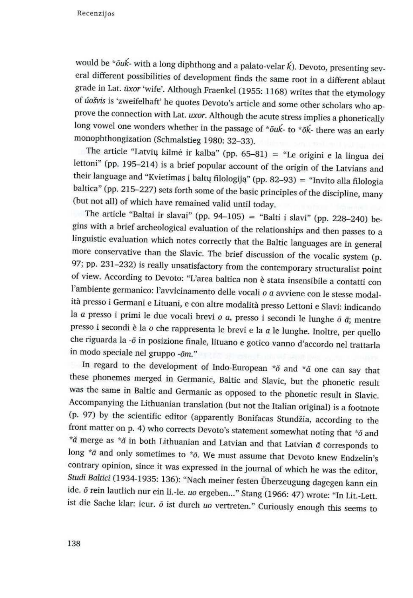Recenzijos

would be \*ōuk- with a long diphthong and a palato-velar  $\vec{k}$ ). Devoto, presenting several different possibilities of development finds the same root in a different ablaut grade in Lat.  $\bar{u}xor$  'wife'. Although Fraenke

The article "Latvių kilmė ir kalba" (pp. 65–81) = "Le origini e la lingua dei<br>lettoni" (pp. 195–214) is a brief popular account of the origin of the Latvians and<br>their language and "Kvietimas į baltų filologiją" (pp. 82–9

more conservative than the Slavic. The brief discussion of the vocalic system (p. 97; pp. 231–232) is really unsatisfactory from the contemporary structuralist point of view. According to Devoto: "L'area baltica non è sta

In regard to the development of Indo-European \*o and \*o one can say that<br>these phonemes merged in Germanic, Baltic and Slavic, but the phonetic result<br>was the same in Baltic and Germanic as opposed to the phonetic result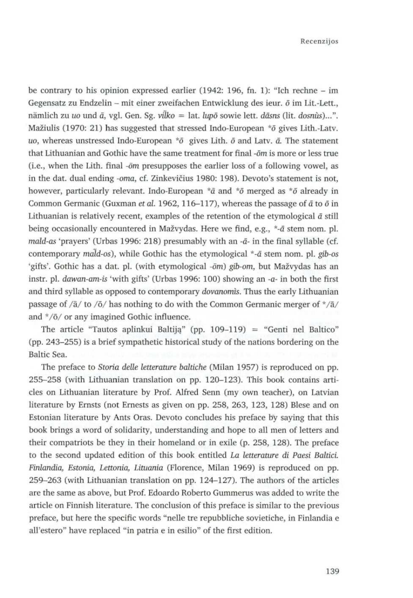be contrary to his opinion expressed earlier (1942: 196, fn. 1): "Ich rechne - im Gegensatz zu Endzelin – mit einer zweifachen Entwicklung des ieur.  $\bar{o}$  im Lit.-Lett., nämlich zu uo und  $\bar{a}$ , vgl. Gen. Sg. vilko = lat. lupõ sowie lett. dāsns (lit. dosnùs)...". Mažiulis (1970: 21) has suggested that stressed Indo-European  $*$ ō gives Lith.-Latv. uo, whereas unstressed Indo-European  $*$ <sup>5</sup> gives Lith.  $\bar{o}$  and Latv.  $\bar{a}$ . The statement that Lithuanian and Gothic have the same treatment for final - $\delta m$  is more or less true (i.e., when the Lith. final  $-\delta m$  presupposes the earlier loss of a following vowel, as in the dat. dual ending -oma, cf. Zinkevičius 1980: 198). Devoto's statement is not, however, particularly relevant. Indo-European  $*\bar{a}$  and  $*\bar{o}$  merged as  $*\bar{o}$  already in Common Germanic (Guxman et al. 1962, 116-117), whereas the passage of  $\bar{a}$  to  $\bar{o}$  in Lithuanian is relatively recent, examples of the retention of the etymological  $\bar{a}$  still being occasionally encountered in Mažvydas. Here we find, e.g., \*-ā stem nom. pl. mald-as 'prayers' (Urbas 1996: 218) presumably with an - $\bar{a}$ - in the final syllable (cf. contemporary mald-os), while Gothic has the etymological  $*$ - $\bar{a}$  stem nom. pl. gib-os 'gifts'. Gothic has a dat. pl. (with etymological -ōm) gib-om, but Mažvydas has an instr. pl. dawan-am-is 'with gifts' (Urbas 1996: 100) showing an  $-a$ - in both the first and third syllable as opposed to contemporary dovanomis. Thus the early Lithuanian passage of  $/\bar{a}/$  to  $/\bar{o}/$  has nothing to do with the Common Germanic merger of  $\sqrt[\ast]{a}/$ and \*/6/ or any imagined Gothic influence.

The preface to Storia delle letterature baltiche (Milan 1957) is reproduced on pp. 255-258 (with Lithuanian translation on pp. 120-123). This book contains articles on Lithuanian literature by Prof. Alfred Senn (my ownteacher), on Latvian literature by Ernsts (not Ernests as given on pp. 258, 263, 123, 128) Blese and on Estonian literature by Ants Oras. Devoto concludes his preface by saying that this book brings a word of solidarity, understanding and hope to all men of letters and their compatriots be they in their homeland or in exile (p. 258, 128). The preface to the second updated edition of this book entitled La letterature di Paesi Baltici. Finlandia, Estonia, Lettonia, Lituania (Florence, Milan 1969) is reproduced on pp. 259-263 (with Lithuanian translation on pp. 124-127). The authors of the articles are the same as above, but Prof. Edoardo Roberto Gummerus was added to write the article on Finnish literature. The conclusion of this preface is similar to the previous preface, but here the specific words "nelle tre repubbliche sovietiche, in Finlandia e all'estero" have replaced"in patria <sup>e</sup> in esilio" of the first edition.

The article "Tautos aplinkui Baltija" (pp. 109-119) = "Genti nel Baltico" (pp. 243–255) is a brief sympathetic historical study of the nations bordering on the Baltic Sea.